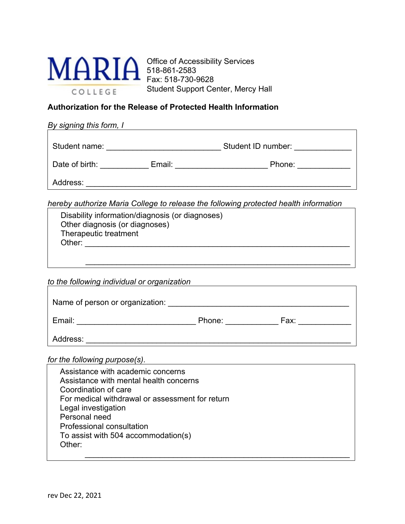

Office of Accessibility Services 518-861-2583 Fax: 518-730-9628 Student Support Center, Mercy Hall

## **Authorization for the Release of Protected Health Information**

## *By signing this form, I*

| Student name:  |        | Student ID number: |        |
|----------------|--------|--------------------|--------|
| Date of birth: | Email: |                    | Phone: |
| Address:       |        |                    |        |

*hereby authorize Maria College to release the following protected health information*

| Disability information/diagnosis (or diagnoses)<br>Other diagnosis (or diagnoses) |
|-----------------------------------------------------------------------------------|
| Therapeutic treatment                                                             |
| Other:                                                                            |
|                                                                                   |
|                                                                                   |

## *to the following individual or organization*

| Name of person or organization: |        |      |  |
|---------------------------------|--------|------|--|
| Email:                          | Phone: | Fax: |  |
| Address:                        |        |      |  |

*for the following purpose(s)*.

 Assistance with academic concerns Assistance with mental health concerns Coordination of care For medical withdrawal or assessment for return Legal investigation Personal need Professional consultation To assist with 504 accommodation(s) Other:  $\overline{\phantom{a}}$  ,  $\overline{\phantom{a}}$  ,  $\overline{\phantom{a}}$  ,  $\overline{\phantom{a}}$  ,  $\overline{\phantom{a}}$  ,  $\overline{\phantom{a}}$  ,  $\overline{\phantom{a}}$  ,  $\overline{\phantom{a}}$  ,  $\overline{\phantom{a}}$  ,  $\overline{\phantom{a}}$  ,  $\overline{\phantom{a}}$  ,  $\overline{\phantom{a}}$  ,  $\overline{\phantom{a}}$  ,  $\overline{\phantom{a}}$  ,  $\overline{\phantom{a}}$  ,  $\overline{\phantom{a}}$